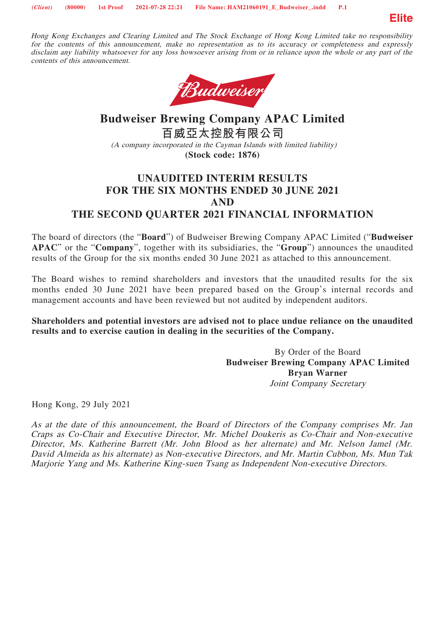

Hong Kong Exchanges and Clearing Limited and The Stock Exchange of Hong Kong Limited take no responsibility for the contents of this announcement, make no representation as to its accuracy or completeness and expressly disclaim any liability whatsoever for any loss howsoever arising from or in reliance upon the whole or any part of the contents of this announcement.



# **Budweiser Brewing Company APAC Limited 百威亞太控股有限公司** (A company incorporated in the Cayman Islands with limited liability) **(Stock code: 1876)**

## **UNAUDITED INTERIM RESULTS FOR THE SIX MONTHS ENDED 30 JUNE 2021 AND THE SECOND QUARTER 2021 FINANCIAL INFORMATION**

The board of directors (the "**Board**") of Budweiser Brewing Company APAC Limited ("**Budweiser** 

**APAC**" or the "**Company**", together with its subsidiaries, the "**Group**") announces the unaudited results of the Group for the six months ended 30 June 2021 as attached to this announcement.

The Board wishes to remind shareholders and investors that the unaudited results for the six months ended 30 June 2021 have been prepared based on the Group's internal records and management accounts and have been reviewed but not audited by independent auditors.

**Shareholders and potential investors are advised not to place undue reliance on the unaudited results and to exercise caution in dealing in the securities of the Company.**

> By Order of the Board **Budweiser Brewing Company APAC Limited Bryan Warner** Joint Company Secretary

Hong Kong, 29 July 2021

As at the date of this announcement, the Board of Directors of the Company comprises Mr. Jan Craps as Co-Chair and Executive Director, Mr. Michel Doukeris as Co-Chair and Non-executive Director, Ms. Katherine Barrett (Mr. John Blood as her alternate) and Mr. Nelson Jamel (Mr. David Almeida as his alternate) as Non-executive Directors, and Mr. Martin Cubbon, Ms. Mun Tak Marjorie Yang and Ms. Katherine King-suen Tsang as Independent Non-executive Directors.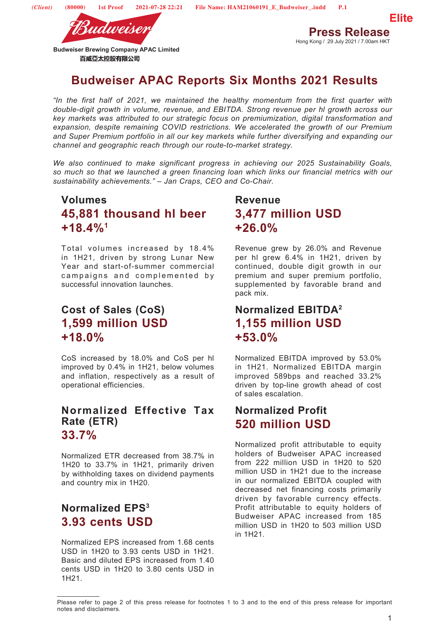

Hong Kong / 29 July 2021 / 7.00am HKT

# **Budweiser APAC Reports Six Months 2021 Results**

*"In the first half of 2021, we maintained the healthy momentum from the first quarter with double-digit growth in volume, revenue, and EBITDA. Strong revenue per hl growth across our key markets was attributed to our strategic focus on premiumization, digital transformation and expansion, despite remaining COVID restrictions. We accelerated the growth of our Premium and Super Premium portfolio in all our key markets while further diversifying and expanding our channel and geographic reach through our route-to-market strategy.*

*We also continued to make significant progress in achieving our 2025 Sustainability Goals, so much so that we launched a green financing loan which links our financial metrics with our sustainability achievements." – Jan Craps, CEO and Co-Chair.*

# **Volumes 45,881 thousand hl beer +18.4%1**

Total volumes increased by 18.4% in 1H21, driven by strong Lunar New Year and start-of-summer commercial campaigns and complemented by successful innovation launches.

# **Cost of Sales (CoS) 1,599 million USD +18.0%**

CoS increased by 18.0% and CoS per hl improved by 0.4% in 1H21, below volumes and inflation, respectively as a result of operational efficiencies.

# **Normalized Effective Tax Rate (ETR) 33.7%**

Normalized ETR decreased from 38.7% in 1H20 to 33.7% in 1H21, primarily driven by withholding taxes on dividend payments and country mix in 1H20.

# **Normalized EPS3 3.93 cents USD**

Normalized EPS increased from 1.68 cents USD in 1H20 to 3.93 cents USD in 1H21. Basic and diluted EPS increased from 1.40 cents USD in 1H20 to 3.80 cents USD in 1H21.

# **Revenue 3,477 million USD +26.0%**

Revenue grew by 26.0% and Revenue per hl grew 6.4% in 1H21, driven by continued, double digit growth in our premium and super premium portfolio, supplemented by favorable brand and pack mix.

# **Normalized EBITDA2 1,155 million USD +53.0%**

Normalized EBITDA improved by 53.0% in 1H21. Normalized EBITDA margin improved 589bps and reached 33.2% driven by top-line growth ahead of cost of sales escalation.

# **Normalized Profit 520 million USD**

Normalized profit attributable to equity holders of Budweiser APAC increased from 222 million USD in 1H20 to 520 million USD in 1H21 due to the increase in our normalized EBITDA coupled with decreased net financing costs primarily driven by favorable currency effects. Profit attributable to equity holders of Budweiser APAC increased from 185 million USD in 1H20 to 503 million USD in 1H21.

Please refer to page 2 of this press release for footnotes 1 to 3 and to the end of this press release for important notes and disclaimers.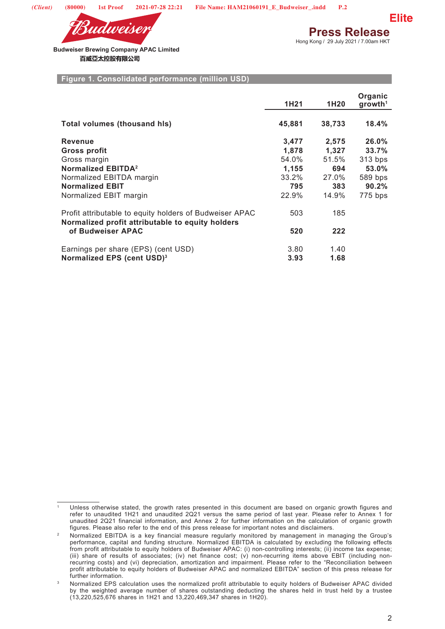

**Press Release** Hong Kong / 29 July 2021 / 7.00am HKT

**Elite**

**Budweiser Brewing Company APAC Limited**  百威亞太控股有限公司

#### **Figure 1. Consolidated performance (million USD)**

|                                                                                                             | 1H <sub>21</sub> | 1H <sub>20</sub> | Organic<br>growth <sup>1</sup> |
|-------------------------------------------------------------------------------------------------------------|------------------|------------------|--------------------------------|
| <b>Total volumes (thousand his)</b>                                                                         | 45,881           | 38,733           | $18.4\%$                       |
| <b>Revenue</b>                                                                                              | 3,477            | 2,575            | 26.0%                          |
| <b>Gross profit</b>                                                                                         | 1,878            | 1,327            | 33.7%                          |
| Gross margin                                                                                                | 54.0%            | 51.5%            | 313 bps                        |
| Normalized EBITDA <sup>2</sup>                                                                              | 1,155            | 694              | 53.0%                          |
| Normalized EBITDA margin                                                                                    | 33.2%            | 27.0%            | 589 bps                        |
| <b>Normalized EBIT</b>                                                                                      | 795              | 383              | 90.2%                          |
| Normalized EBIT margin                                                                                      | 22.9%            | 14.9%            | 775 bps                        |
| Profit attributable to equity holders of Budweiser APAC<br>Normalized profit attributable to equity holders | 503              | 185              |                                |
| of Budweiser APAC                                                                                           | 520              | 222              |                                |
| Earnings per share (EPS) (cent USD)                                                                         | 3.80             | 1.40             |                                |
| Normalized EPS (cent USD) <sup>3</sup>                                                                      | 3.93             | 1.68             |                                |

Unless otherwise stated, the growth rates presented in this document are based on organic growth figures and refer to unaudited 1H21 and unaudited 2Q21 versus the same period of last year. Please refer to Annex 1 for unaudited 2Q21 financial information, and Annex 2 for further information on the calculation of organic growth<br>figures. Please also refer to the end of this press release for important notes and disclaimers.

<sup>&</sup>lt;sup>2</sup> Normalized EBITDA is a key financial measure regularly monitored by management in managing the Group's performance, capital and funding structure. Normalized EBITDA is calculated by excluding the following effects from profit attributable to equity holders of Budweiser APAC: (i) non-controlling interests; (ii) income tax expense; (iii) share of results of associates; (iv) net finance cost; (v) non-recurring items above EBIT (including nonrecurring costs) and (vi) depreciation, amortization and impairment. Please refer to the "Reconciliation between profit attributable to equity holders of Budweiser APAC and normalized EBITDA" section of this press release for further information.

<sup>3</sup> Normalized EPS calculation uses the normalized profit attributable to equity holders of Budweiser APAC divided by the weighted average number of shares outstanding deducting the shares held in trust held by a trustee (13,220,525,676 shares in 1H21 and 13,220,469,347 shares in 1H20).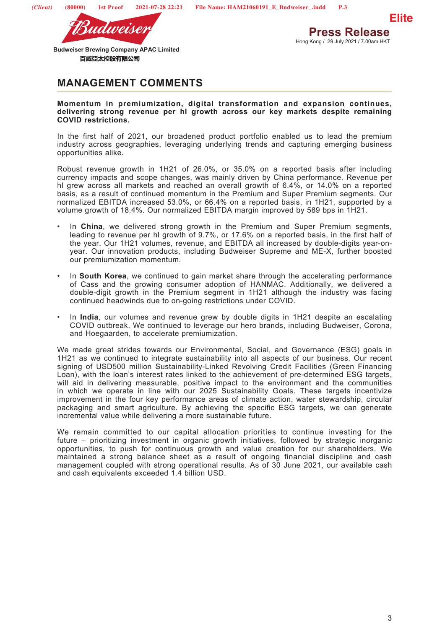

**Press Release** Hong Kong / 29 July 2021 / 7.00am HKT

**Elite**

**Budweiser Brewing Company APAC Limited**  百威亞太控股有限公司

## **MANAGEMENT COMMENTS**

**Momentum in premiumization, digital transformation and expansion continues, delivering strong revenue per hl growth across our key markets despite remaining COVID restrictions.**

In the first half of 2021, our broadened product portfolio enabled us to lead the premium industry across geographies, leveraging underlying trends and capturing emerging business opportunities alike.

Robust revenue growth in 1H21 of 26.0%, or 35.0% on a reported basis after including currency impacts and scope changes, was mainly driven by China performance. Revenue per hl grew across all markets and reached an overall growth of 6.4%, or 14.0% on a reported basis, as a result of continued momentum in the Premium and Super Premium segments. Our normalized EBITDA increased 53.0%, or 66.4% on a reported basis, in 1H21, supported by a volume growth of 18.4%. Our normalized EBITDA margin improved by 589 bps in 1H21.

- In China, we delivered strong growth in the Premium and Super Premium segments, leading to revenue per hl growth of 9.7%, or 17.6% on a reported basis, in the first half of the year. Our 1H21 volumes, revenue, and EBITDA all increased by double-digits year-onyear. Our innovation products, including Budweiser Supreme and ME-X, further boosted our premiumization momentum.
- In **South Korea**, we continued to gain market share through the accelerating performance of Cass and the growing consumer adoption of HANMAC. Additionally, we delivered a double-digit growth in the Premium segment in 1H21 although the industry was facing continued headwinds due to on-going restrictions under COVID.
- In **India**, our volumes and revenue grew by double digits in 1H21 despite an escalating COVID outbreak. We continued to leverage our hero brands, including Budweiser, Corona, and Hoegaarden, to accelerate premiumization.

We made great strides towards our Environmental, Social, and Governance (ESG) goals in 1H21 as we continued to integrate sustainability into all aspects of our business. Our recent signing of USD500 million Sustainability-Linked Revolving Credit Facilities (Green Financing Loan), with the loan's interest rates linked to the achievement of pre-determined ESG targets, will aid in delivering measurable, positive impact to the environment and the communities in which we operate in line with our 2025 Sustainability Goals. These targets incentivize improvement in the four key performance areas of climate action, water stewardship, circular packaging and smart agriculture. By achieving the specific ESG targets, we can generate incremental value while delivering a more sustainable future.

We remain committed to our capital allocation priorities to continue investing for the future – prioritizing investment in organic growth initiatives, followed by strategic inorganic opportunities, to push for continuous growth and value creation for our shareholders. We maintained a strong balance sheet as a result of ongoing financial discipline and cash management coupled with strong operational results. As of 30 June 2021, our available cash and cash equivalents exceeded 1.4 billion USD.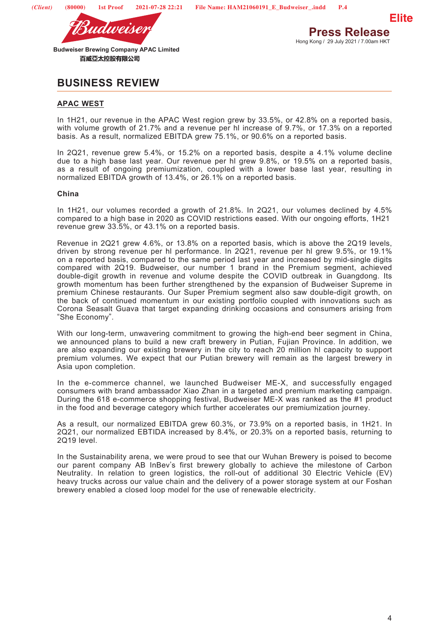

## **BUSINESS REVIEW**

## **APAC WEST**

In 1H21, our revenue in the APAC West region grew by 33.5%, or 42.8% on a reported basis, with volume growth of 21.7% and a revenue per hl increase of 9.7%, or 17.3% on a reported basis. As a result, normalized EBITDA grew 75.1%, or 90.6% on a reported basis.

In 2Q21, revenue grew 5.4%, or 15.2% on a reported basis, despite a 4.1% volume decline due to a high base last year. Our revenue per hl grew 9.8%, or 19.5% on a reported basis, as a result of ongoing premiumization, coupled with a lower base last year, resulting in normalized EBITDA growth of 13.4%, or 26.1% on a reported basis.

## **China**

In 1H21, our volumes recorded a growth of 21.8%. In 2Q21, our volumes declined by 4.5% compared to a high base in 2020 as COVID restrictions eased. With our ongoing efforts, 1H21 revenue grew 33.5%, or 43.1% on a reported basis.

Revenue in 2Q21 grew 4.6%, or 13.8% on a reported basis, which is above the 2Q19 levels, driven by strong revenue per hl performance. In 2Q21, revenue per hl grew 9.5%, or 19.1% on a reported basis, compared to the same period last year and increased by mid-single digits compared with 2Q19. Budweiser, our number 1 brand in the Premium segment, achieved double-digit growth in revenue and volume despite the COVID outbreak in Guangdong. Its growth momentum has been further strengthened by the expansion of Budweiser Supreme in premium Chinese restaurants. Our Super Premium segment also saw double-digit growth, on the back of continued momentum in our existing portfolio coupled with innovations such as Corona Seasalt Guava that target expanding drinking occasions and consumers arising from "She Economy".

With our long-term, unwavering commitment to growing the high-end beer segment in China, we announced plans to build a new craft brewery in Putian, Fujian Province. In addition, we are also expanding our existing brewery in the city to reach 20 million hl capacity to support premium volumes. We expect that our Putian brewery will remain as the largest brewery in Asia upon completion.

In the e-commerce channel, we launched Budweiser ME-X, and successfully engaged consumers with brand ambassador Xiao Zhan in a targeted and premium marketing campaign. During the 618 e-commerce shopping festival, Budweiser ME-X was ranked as the #1 product in the food and beverage category which further accelerates our premiumization journey.

As a result, our normalized EBITDA grew 60.3%, or 73.9% on a reported basis, in 1H21. In 2Q21, our normalized EBTIDA increased by 8.4%, or 20.3% on a reported basis, returning to 2Q19 level.

In the Sustainability arena, we were proud to see that our Wuhan Brewery is poised to become our parent company AB InBev's first brewery globally to achieve the milestone of Carbon Neutrality. In relation to green logistics, the roll-out of additional 30 Electric Vehicle (EV) heavy trucks across our value chain and the delivery of a power storage system at our Foshan brewery enabled a closed loop model for the use of renewable electricity.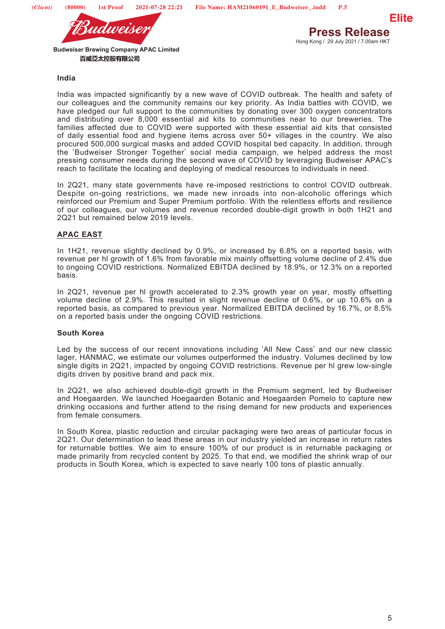



### **India**

India was impacted significantly by a new wave of COVID outbreak. The health and safety of our colleagues and the community remains our key priority. As India battles with COVID, we have pledged our full support to the communities by donating over 300 oxygen concentrators and distributing over 8,000 essential aid kits to communities near to our breweries. The families affected due to COVID were supported with these essential aid kits that consisted of daily essential food and hygiene items across over 50+ villages in the country. We also procured 500,000 surgical masks and added COVID hospital bed capacity. In addition, through the 'Budweiser Stronger Together' social media campaign, we helped address the most pressing consumer needs during the second wave of COVID by leveraging Budweiser APAC's reach to facilitate the locating and deploying of medical resources to individuals in need.

In 2Q21, many state governments have re-imposed restrictions to control COVID outbreak. Despite on-going restrictions, we made new inroads into non-alcoholic offerings which reinforced our Premium and Super Premium portfolio. With the relentless efforts and resilience of our colleagues, our volumes and revenue recorded double-digit growth in both 1H21 and 2Q21 but remained below 2019 levels.

## **APAC EAST**

In 1H21, revenue slightly declined by 0.9%, or increased by 6.8% on a reported basis, with revenue per hl growth of 1.6% from favorable mix mainly offsetting volume decline of 2.4% due to ongoing COVID restrictions. Normalized EBITDA declined by 18.9%, or 12.3% on a reported basis.

In 2Q21, revenue per hl growth accelerated to 2.3% growth year on year, mostly offsetting volume decline of 2.9%. This resulted in slight revenue decline of 0.6%, or up 10.6% on a reported basis, as compared to previous year. Normalized EBITDA declined by 16.7%, or 8.5% on a reported basis under the ongoing COVID restrictions.

## **South Korea**

Led by the success of our recent innovations including 'All New Cass' and our new classic lager, HANMAC, we estimate our volumes outperformed the industry. Volumes declined by low single digits in 2Q21, impacted by ongoing COVID restrictions. Revenue per hl grew low-single digits driven by positive brand and pack mix.

In 2Q21, we also achieved double-digit growth in the Premium segment, led by Budweiser and Hoegaarden. We launched Hoegaarden Botanic and Hoegaarden Pomelo to capture new drinking occasions and further attend to the rising demand for new products and experiences from female consumers.

In South Korea, plastic reduction and circular packaging were two areas of particular focus in 2Q21. Our determination to lead these areas in our industry yielded an increase in return rates for returnable bottles. We aim to ensure 100% of our product is in returnable packaging or made primarily from recycled content by 2025. To that end, we modified the shrink wrap of our products in South Korea, which is expected to save nearly 100 tons of plastic annually.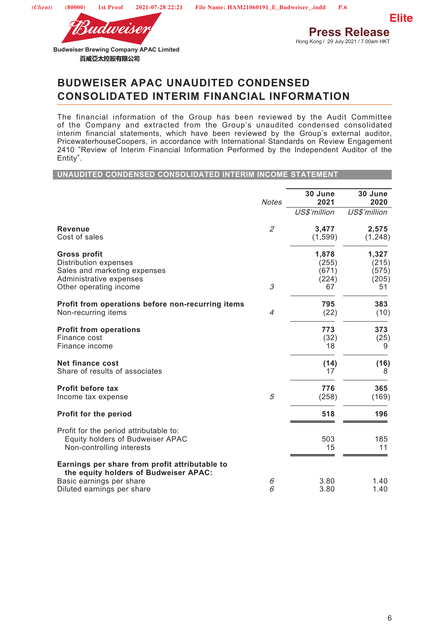

**Press Release** Hong Kong / 29 July 2021 / 7.00am HKT

**Elite**

**Budweiser Brewing Company APAC Limited**  百威亞太控股有限公司

## **BUDWEISER APAC UNAUDITED CONDENSED CONSOLIDATED INTERIM FINANCIAL INFORMATION**

The financial information of the Group has been reviewed by the Audit Committee of the Company and extracted from the Group's unaudited condensed consolidated interim financial statements, which have been reviewed by the Group's external auditor, PricewaterhouseCoopers, in accordance with International Standards on Review Engagement 2410 "Review of Interim Financial Information Performed by the Independent Auditor of the Entity".

#### **UNAUDITED CONDENSED CONSOLIDATED INTERIM INCOME STATEMENT**

|                                                                                                                                          | <b>Notes</b>                | 30 June<br>2021                        | 30 June<br>2020                        |
|------------------------------------------------------------------------------------------------------------------------------------------|-----------------------------|----------------------------------------|----------------------------------------|
|                                                                                                                                          |                             | US\$'million                           | US\$'million                           |
| <b>Revenue</b><br>Cost of sales                                                                                                          | $\mathcal{L}_{\mathcal{L}}$ | 3,477<br>(1,599)                       | 2,575<br>(1, 248)                      |
| <b>Gross profit</b><br><b>Distribution expenses</b><br>Sales and marketing expenses<br>Administrative expenses<br>Other operating income | 3                           | 1,878<br>(255)<br>(671)<br>(224)<br>67 | 1,327<br>(215)<br>(575)<br>(205)<br>51 |
| Profit from operations before non-recurring items<br>Non-recurring items                                                                 | $\overline{4}$              | 795<br>(22)                            | 383<br>(10)                            |
| <b>Profit from operations</b><br>Finance cost<br>Finance income                                                                          |                             | 773<br>(32)<br>18                      | 373<br>(25)<br>9                       |
| <b>Net finance cost</b><br>Share of results of associates                                                                                |                             | (14)<br>17                             | (16)<br>8                              |
| <b>Profit before tax</b><br>Income tax expense                                                                                           | 5                           | 776<br>(258)                           | 365<br>(169)                           |
| Profit for the period                                                                                                                    |                             | 518                                    | 196                                    |
| Profit for the period attributable to:<br>Equity holders of Budweiser APAC<br>Non-controlling interests                                  |                             | 503<br>15                              | 185<br>11                              |
| Earnings per share from profit attributable to<br>the equity holders of Budweiser APAC:<br>Basic earnings per share                      |                             | 3.80                                   | 1.40                                   |
| Diluted earnings per share                                                                                                               | 6<br>6                      | 3.80                                   | 1.40                                   |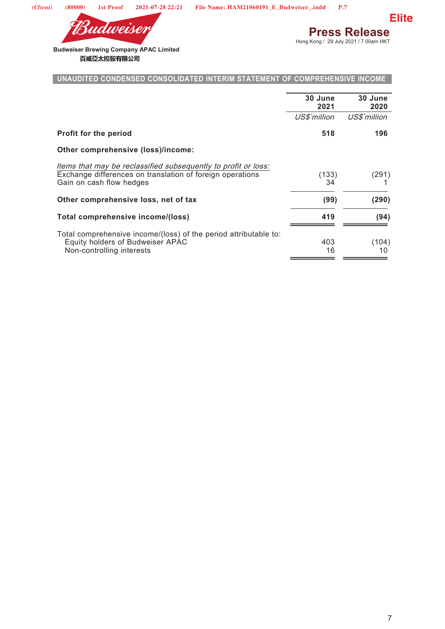



**Press Release**<br>Hong Kong / 29 July 2021 / 7.00am HKT

**Budweiser Brewing Company APAC Limited**  百威亞太控股有限公司

## **UNAUDITED CONDENSED CONSOLIDATED INTERIM STATEMENT OF COMPREHENSIVE INCOME**

|                                                                                                                                                         | 30 June<br>2021 | 30 June<br>2020 |
|---------------------------------------------------------------------------------------------------------------------------------------------------------|-----------------|-----------------|
|                                                                                                                                                         | US\$'million    | US\$'million    |
| Profit for the period                                                                                                                                   | 518             | 196             |
| Other comprehensive (loss)/income:                                                                                                                      |                 |                 |
| Items that may be reclassified subsequently to profit or loss:<br>Exchange differences on translation of foreign operations<br>Gain on cash flow hedges | (133)<br>34     | (291)           |
| Other comprehensive loss, net of tax                                                                                                                    | (99)            | (290)           |
| Total comprehensive income/(loss)                                                                                                                       | 419             | (94)            |
| Total comprehensive income/(loss) of the period attributable to:<br>Equity holders of Budweiser APAC<br>Non-controlling interests                       | 403<br>16       | (104)<br>10     |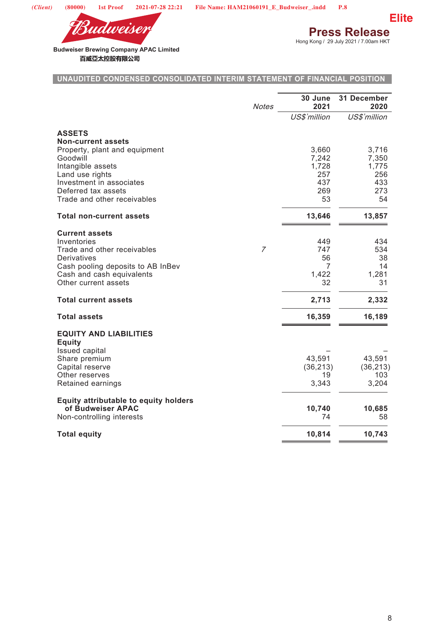

**Press Release**<br>Hong Kong / 29 July 2021 / 7.00am HKT



**Budweiser Brewing Company APAC Limited**  百威亞太控股有限公司

## **UNAUDITED CONDENSED CONSOLIDATED INTERIM STATEMENT OF FINANCIAL POSITION**

|                                                                   | <b>Notes</b>   | 30 June<br>2021 | 31 December<br>2020 |
|-------------------------------------------------------------------|----------------|-----------------|---------------------|
|                                                                   |                | US\$'million    | US\$'million        |
| <b>ASSETS</b><br><b>Non-current assets</b>                        |                |                 |                     |
| Property, plant and equipment                                     |                | 3,660           | 3,716               |
| Goodwill<br>Intangible assets                                     |                | 7,242<br>1,728  | 7,350<br>1,775      |
| Land use rights<br>Investment in associates                       |                | 257<br>437      | 256<br>433          |
| Deferred tax assets                                               |                | 269             | 273                 |
| Trade and other receivables                                       |                | 53              | 54                  |
| <b>Total non-current assets</b>                                   |                | 13,646          | 13,857              |
| <b>Current assets</b>                                             |                |                 |                     |
| Inventories                                                       |                | 449             | 434                 |
| Trade and other receivables<br>Derivatives                        | $\overline{7}$ | 747<br>56       | 534<br>38           |
| Cash pooling deposits to AB InBev                                 |                | 7               | 14                  |
| Cash and cash equivalents<br>Other current assets                 |                | 1,422<br>32     | 1,281<br>31         |
|                                                                   |                |                 |                     |
| <b>Total current assets</b>                                       |                | 2,713           | 2,332               |
| <b>Total assets</b>                                               |                | 16,359          | 16,189              |
| <b>EQUITY AND LIABILITIES</b><br><b>Equity</b>                    |                |                 |                     |
| <b>Issued capital</b><br>Share premium                            |                | 43,591          | 43,591              |
| Capital reserve                                                   |                | (36, 213)       | (36, 213)           |
| Other reserves<br>Retained earnings                               |                | 19<br>3,343     | 103<br>3,204        |
|                                                                   |                |                 |                     |
| <b>Equity attributable to equity holders</b><br>of Budweiser APAC |                | 10,740          | 10,685              |
| Non-controlling interests                                         |                | 74              | 58                  |
| <b>Total equity</b>                                               |                | 10,814          | 10,743              |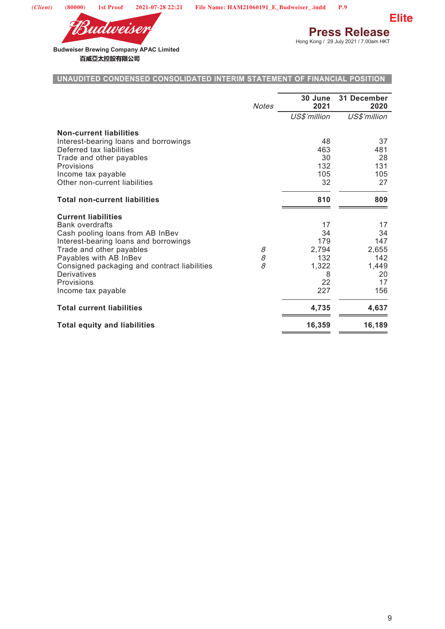



**Press Release**<br>Hong Kong / 29 July 2021 / 7.00am HKT

**Budweiser Brewing Company APAC Limited**  百威亞太控股有限公司

## **UNAUDITED CONDENSED CONSOLIDATED INTERIM STATEMENT OF FINANCIAL POSITION**

|                                                                           | <b>Notes</b> | 30 June<br>2021 | 31 December<br>2020 |
|---------------------------------------------------------------------------|--------------|-----------------|---------------------|
|                                                                           |              | US\$'million    | US\$'million        |
| <b>Non-current liabilities</b>                                            |              |                 |                     |
| Interest-bearing loans and borrowings<br>Deferred tax liabilities         |              | 48<br>463       | 37<br>481           |
| Trade and other payables                                                  |              | 30              | 28                  |
| Provisions                                                                |              | 132             | 131                 |
| Income tax payable                                                        |              | 105             | 105                 |
| Other non-current liabilities                                             |              | 32              | 27                  |
| <b>Total non-current liabilities</b>                                      |              | 810             | 809                 |
| <b>Current liabilities</b>                                                |              |                 |                     |
| <b>Bank overdrafts</b>                                                    |              | 17              | 17                  |
| Cash pooling loans from AB InBev<br>Interest-bearing loans and borrowings |              | 34<br>179       | 34<br>147           |
| Trade and other payables                                                  | 8            | 2,794           | 2,655               |
| Payables with AB InBev                                                    | 8            | 132             | 142                 |
| Consigned packaging and contract liabilities                              | 8            | 1,322           | 1,449               |
| <b>Derivatives</b>                                                        |              | 8               | 20                  |
| Provisions                                                                |              | 22              | 17                  |
| Income tax payable                                                        |              | 227             | 156                 |
| <b>Total current liabilities</b>                                          |              | 4,735           | 4,637               |
| <b>Total equity and liabilities</b>                                       |              | 16,359          | 16,189              |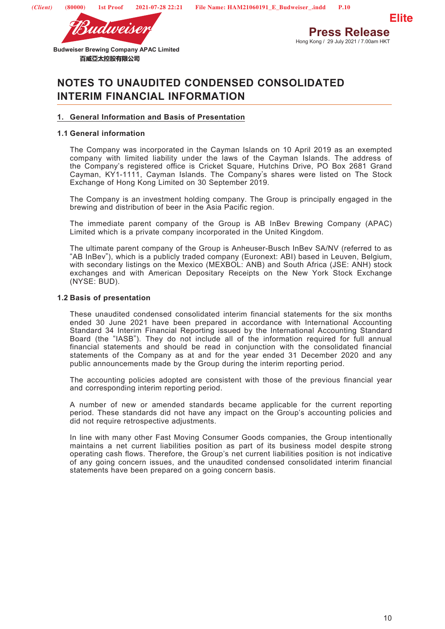



Hong Kong / 29 July 2021 / 7.00am HKT

**Budweiser Brewing Company APAC Limited**  百威亞太控股有限公司

# **NOTES TO UNAUDITED CONDENSED CONSOLIDATED INTERIM FINANCIAL INFORMATION**

## **1. General Information and Basis of Presentation**

## **1.1 General information**

The Company was incorporated in the Cayman Islands on 10 April 2019 as an exempted company with limited liability under the laws of the Cayman Islands. The address of the Company's registered office is Cricket Square, Hutchins Drive, PO Box 2681 Grand Cayman, KY1-1111, Cayman Islands. The Company's shares were listed on The Stock Exchange of Hong Kong Limited on 30 September 2019.

The Company is an investment holding company. The Group is principally engaged in the brewing and distribution of beer in the Asia Pacific region.

The immediate parent company of the Group is AB InBev Brewing Company (APAC) Limited which is a private company incorporated in the United Kingdom.

The ultimate parent company of the Group is Anheuser-Busch InBev SA/NV (referred to as "AB InBev"), which is a publicly traded company (Euronext: ABI) based in Leuven, Belgium, with secondary listings on the Mexico (MEXBOL: ANB) and South Africa (JSE: ANH) stock exchanges and with American Depositary Receipts on the New York Stock Exchange (NYSE: BUD).

### **1.2 Basis of presentation**

These unaudited condensed consolidated interim financial statements for the six months ended 30 June 2021 have been prepared in accordance with International Accounting Standard 34 Interim Financial Reporting issued by the International Accounting Standard Board (the "IASB"). They do not include all of the information required for full annual financial statements and should be read in conjunction with the consolidated financial statements of the Company as at and for the year ended 31 December 2020 and any public announcements made by the Group during the interim reporting period.

The accounting policies adopted are consistent with those of the previous financial year and corresponding interim reporting period.

A number of new or amended standards became applicable for the current reporting period. These standards did not have any impact on the Group's accounting policies and did not require retrospective adjustments.

In line with many other Fast Moving Consumer Goods companies, the Group intentionally maintains a net current liabilities position as part of its business model despite strong operating cash flows. Therefore, the Group's net current liabilities position is not indicative of any going concern issues, and the unaudited condensed consolidated interim financial statements have been prepared on a going concern basis.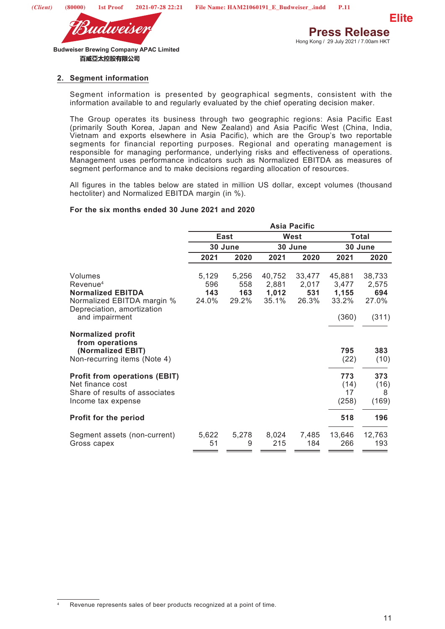



## **2. Segment information**

Segment information is presented by geographical segments, consistent with the information available to and regularly evaluated by the chief operating decision maker.

The Group operates its business through two geographic regions: Asia Pacific East (primarily South Korea, Japan and New Zealand) and Asia Pacific West (China, India, Vietnam and exports elsewhere in Asia Pacific), which are the Group's two reportable segments for financial reporting purposes. Regional and operating management is responsible for managing performance, underlying risks and effectiveness of operations. Management uses performance indicators such as Normalized EBITDA as measures of segment performance and to make decisions regarding allocation of resources.

All figures in the tables below are stated in million US dollar, except volumes (thousand hectoliter) and Normalized EBITDA margin (in %).

### **For the six months ended 30 June 2021 and 2020**

|                                                                                                                                           |                              |                              |                                   | <b>Asia Pacific</b>             |                                            |                                          |
|-------------------------------------------------------------------------------------------------------------------------------------------|------------------------------|------------------------------|-----------------------------------|---------------------------------|--------------------------------------------|------------------------------------------|
|                                                                                                                                           |                              | East                         |                                   | West                            |                                            | <b>Total</b>                             |
|                                                                                                                                           |                              | 30 June                      |                                   | 30 June                         |                                            | 30 June                                  |
|                                                                                                                                           | 2021                         | 2020                         | 2021                              | 2020                            | 2021                                       | 2020                                     |
| Volumes<br>Revenue <sup>4</sup><br><b>Normalized EBITDA</b><br>Normalized EBITDA margin %<br>Depreciation, amortization<br>and impairment | 5,129<br>596<br>143<br>24.0% | 5,256<br>558<br>163<br>29.2% | 40,752<br>2,881<br>1,012<br>35.1% | 33,477<br>2,017<br>531<br>26.3% | 45,881<br>3,477<br>1,155<br>33.2%<br>(360) | 38,733<br>2,575<br>694<br>27.0%<br>(311) |
| <b>Normalized profit</b><br>from operations<br>(Normalized EBIT)<br>Non-recurring items (Note 4)                                          |                              |                              |                                   |                                 | 795<br>(22)                                | 383<br>(10)                              |
| <b>Profit from operations (EBIT)</b><br>Net finance cost<br>Share of results of associates<br>Income tax expense                          |                              |                              |                                   |                                 | 773<br>(14)<br>17<br>(258)                 | 373<br>(16)<br>8<br>(169)                |
| <b>Profit for the period</b>                                                                                                              |                              |                              |                                   |                                 | 518                                        | 196                                      |
| Segment assets (non-current)<br>Gross capex                                                                                               | 5,622<br>51                  | 5,278<br>9                   | 8,024<br>215                      | 7,485<br>184                    | 13,646<br>266                              | 12,763<br>193                            |

Revenue represents sales of beer products recognized at a point of time.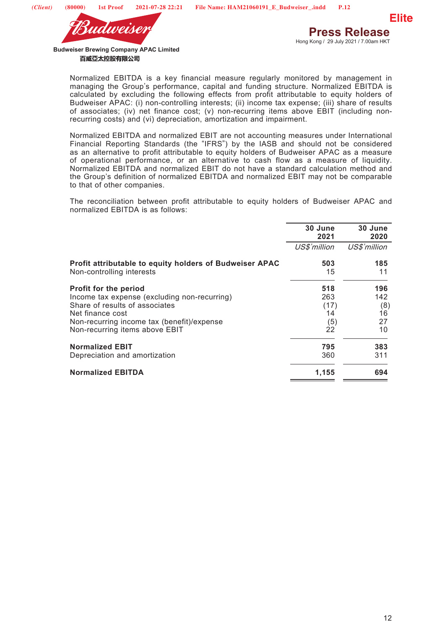

> Normalized EBITDA is a key financial measure regularly monitored by management in managing the Group's performance, capital and funding structure. Normalized EBITDA is calculated by excluding the following effects from profit attributable to equity holders of Budweiser APAC: (i) non-controlling interests; (ii) income tax expense; (iii) share of results of associates; (iv) net finance cost; (v) non-recurring items above EBIT (including nonrecurring costs) and (vi) depreciation, amortization and impairment.

> Normalized EBITDA and normalized EBIT are not accounting measures under International Financial Reporting Standards (the "IFRS") by the IASB and should not be considered as an alternative to profit attributable to equity holders of Budweiser APAC as a measure of operational performance, or an alternative to cash flow as a measure of liquidity. Normalized EBITDA and normalized EBIT do not have a standard calculation method and the Group's definition of normalized EBITDA and normalized EBIT may not be comparable to that of other companies.

> The reconciliation between profit attributable to equity holders of Budweiser APAC and normalized EBITDA is as follows:

|                                                                                      | 30 June<br>2021 | 30 June<br>2020 |
|--------------------------------------------------------------------------------------|-----------------|-----------------|
|                                                                                      | US\$'million    | US\$'million    |
| Profit attributable to equity holders of Budweiser APAC<br>Non-controlling interests | 503<br>15       | 185<br>11       |
| <b>Profit for the period</b>                                                         | 518             | 196             |
| Income tax expense (excluding non-recurring)                                         | 263             | 142             |
| Share of results of associates                                                       | (17)            | (8)             |
| Net finance cost                                                                     | 14              | 16              |
| Non-recurring income tax (benefit)/expense                                           | (5)             | 27              |
| Non-recurring items above EBIT                                                       | 22              | 10              |
| <b>Normalized EBIT</b>                                                               | 795             | 383             |
| Depreciation and amortization                                                        | 360             | 311             |
| <b>Normalized EBITDA</b>                                                             | 1,155           | 694             |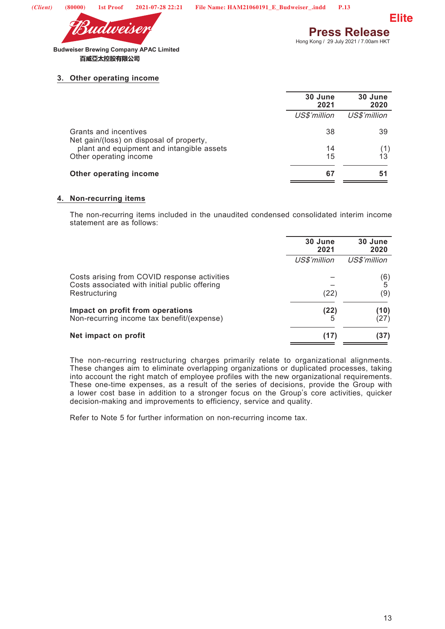

**Elite**

**Budweiser Brewing Company APAC Limited**  百威亞太控股有限公司

## **3. Other operating income**

|                                                                   | 30 June<br>2021 | 30 June<br>2020 |
|-------------------------------------------------------------------|-----------------|-----------------|
|                                                                   | US\$'million    | US\$'million    |
| Grants and incentives<br>Net gain/(loss) on disposal of property, | 38              | 39              |
| plant and equipment and intangible assets                         | 14              |                 |
| Other operating income                                            | 15              | 13              |
| Other operating income                                            | 67              | 51              |

### **4. Non-recurring items**

The non-recurring items included in the unaudited condensed consolidated interim income statement are as follows:

|                                                                                                                | 30 June<br>2021 | 30 June<br>2020 |
|----------------------------------------------------------------------------------------------------------------|-----------------|-----------------|
|                                                                                                                | US\$'million    | US\$'million    |
| Costs arising from COVID response activities<br>Costs associated with initial public offering<br>Restructuring | (22)            | (6)<br>5<br>(9) |
| Impact on profit from operations<br>Non-recurring income tax benefit/(expense)                                 | (22)            | (10)<br>(27)    |
| Net impact on profit                                                                                           | (17)            | (37)            |

The non-recurring restructuring charges primarily relate to organizational alignments. These changes aim to eliminate overlapping organizations or duplicated processes, taking into account the right match of employee profiles with the new organizational requirements. These one-time expenses, as a result of the series of decisions, provide the Group with a lower cost base in addition to a stronger focus on the Group's core activities, quicker decision-making and improvements to efficiency, service and quality.

Refer to Note 5 for further information on non-recurring income tax.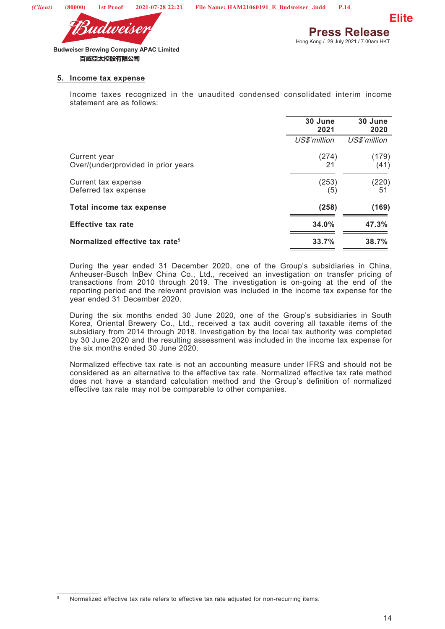



#### **5. Income tax expense**

Income taxes recognized in the unaudited condensed consolidated interim income statement are as follows:

|                                                     | 30 June<br>2021 | 30 June<br>2020 |
|-----------------------------------------------------|-----------------|-----------------|
|                                                     | US\$'million    | US\$'million    |
| Current year<br>Over/(under)provided in prior years | (274)<br>21     | (179)<br>(41)   |
| Current tax expense<br>Deferred tax expense         | (253)<br>(5)    | (220)<br>51     |
| Total income tax expense                            | (258)           | (169)           |
| <b>Effective tax rate</b>                           | 34.0%           | 47.3%           |
| Normalized effective tax rate <sup>5</sup>          | 33.7%           | 38.7%           |

During the year ended 31 December 2020, one of the Group's subsidiaries in China, Anheuser-Busch InBev China Co., Ltd., received an investigation on transfer pricing of transactions from 2010 through 2019. The investigation is on-going at the end of the reporting period and the relevant provision was included in the income tax expense for the year ended 31 December 2020.

During the six months ended 30 June 2020, one of the Group's subsidiaries in South Korea, Oriental Brewery Co., Ltd., received a tax audit covering all taxable items of the subsidiary from 2014 through 2018. Investigation by the local tax authority was completed by 30 June 2020 and the resulting assessment was included in the income tax expense for the six months ended 30 June 2020.

Normalized effective tax rate is not an accounting measure under IFRS and should not be considered as an alternative to the effective tax rate. Normalized effective tax rate method does not have a standard calculation method and the Group's definition of normalized effective tax rate may not be comparable to other companies.

Normalized effective tax rate refers to effective tax rate adjusted for non-recurring items.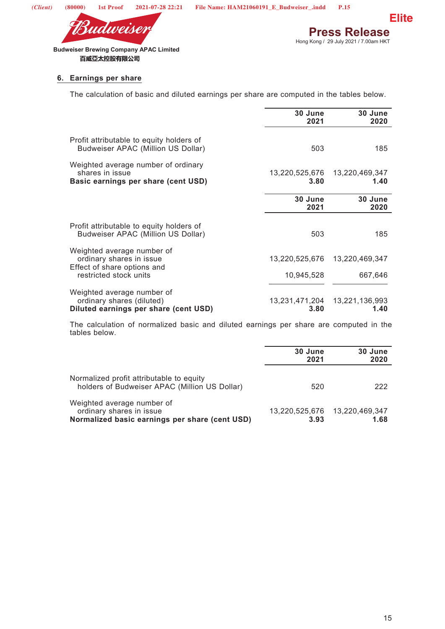

**Press Release**<br>Hong Kong / 29 July 2021 / 7.00am HKT **Elite**

**Budweiser Brewing Company APAC Limited**  百威亞太控股有限公司

## **6. Earnings per share**

The calculation of basic and diluted earnings per share are computed in the tables below.

|                                                                                                  | 30 June<br>2021        | 30 June<br>2020        |
|--------------------------------------------------------------------------------------------------|------------------------|------------------------|
| Profit attributable to equity holders of<br>Budweiser APAC (Million US Dollar)                   | 503                    | 185                    |
| Weighted average number of ordinary<br>shares in issue<br>Basic earnings per share (cent USD)    | 13,220,525,676<br>3.80 | 13,220,469,347<br>1.40 |
|                                                                                                  | 30 June<br>2021        | 30 June<br>2020        |
| Profit attributable to equity holders of<br>Budweiser APAC (Million US Dollar)                   | 503                    | 185                    |
| Weighted average number of<br>ordinary shares in issue<br>Effect of share options and            | 13,220,525,676         | 13,220,469,347         |
| restricted stock units                                                                           | 10,945,528             | 667,646                |
| Weighted average number of<br>ordinary shares (diluted)<br>Diluted earnings per share (cent USD) | 13,231,471,204<br>3.80 | 13,221,136,993<br>1.40 |

The calculation of normalized basic and diluted earnings per share are computed in the tables below.

|                                                                                                          | 30 June<br>2021 | 30 June<br>2020 |
|----------------------------------------------------------------------------------------------------------|-----------------|-----------------|
| Normalized profit attributable to equity<br>holders of Budweiser APAC (Million US Dollar)                | 520             | 222             |
| Weighted average number of<br>ordinary shares in issue<br>Normalized basic earnings per share (cent USD) | 3.93            | 1.68            |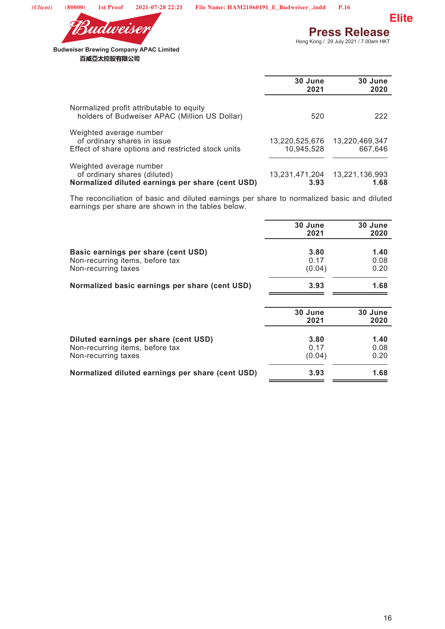



**Elite**

Hong Kong / 29 July 2021 / 7.00am HKT

**Budweiser Brewing Company APAC Limited**  百威亞太控股有限公司

|                                                                                                              | 30 June<br>2021              | 30 June<br>2020           |
|--------------------------------------------------------------------------------------------------------------|------------------------------|---------------------------|
| Normalized profit attributable to equity<br>holders of Budweiser APAC (Million US Dollar)                    | 520                          | 222                       |
| Weighted average number<br>of ordinary shares in issue<br>Effect of share options and restricted stock units | 13,220,525,676<br>10,945,528 | 13,220,469,347<br>667,646 |
| Weighted average number<br>of ordinary shares (diluted)<br>Normalized diluted earnings per share (cent USD)  | 13,231,471,204<br>3.93       | 13,221,136,993<br>1.68    |

The reconciliation of basic and diluted earnings per share to normalized basic and diluted earnings per share are shown in the tables below.

|                                                                                                 | 30 June<br>2021        | 30 June<br>2020      |
|-------------------------------------------------------------------------------------------------|------------------------|----------------------|
| Basic earnings per share (cent USD)<br>Non-recurring items, before tax<br>Non-recurring taxes   | 3.80<br>0.17<br>(0.04) | 1.40<br>0.08<br>0.20 |
| Normalized basic earnings per share (cent USD)                                                  | 3.93                   | 1.68                 |
|                                                                                                 | 30 June<br>2021        | 30 June<br>2020      |
| Diluted earnings per share (cent USD)<br>Non-recurring items, before tax<br>Non-recurring taxes | 3.80<br>0.17<br>(0.04) | 1.40<br>0.08<br>0.20 |
| Normalized diluted earnings per share (cent USD)                                                | 3.93                   | 1.68                 |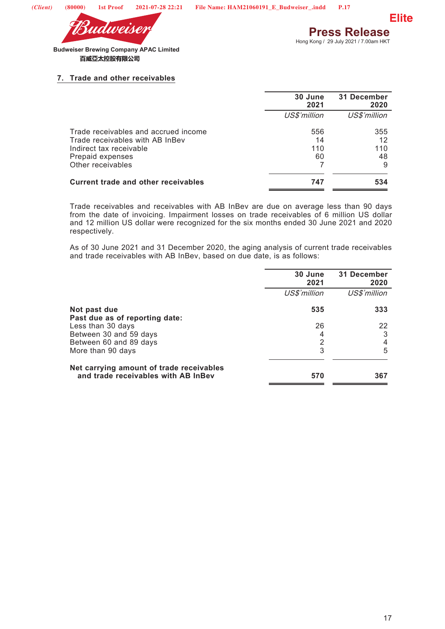



### **7. Trade and other receivables**

|                                            | 30 June<br>2021 | 31 December<br>2020 |
|--------------------------------------------|-----------------|---------------------|
|                                            | US\$'million    | US\$'million        |
| Trade receivables and accrued income       | 556             | 355                 |
| Trade receivables with AB InBev            | 14              | 12                  |
| Indirect tax receivable                    | 110             | 110                 |
| Prepaid expenses                           | 60              | 48                  |
| Other receivables                          |                 | 9                   |
| <b>Current trade and other receivables</b> | 747             | 534                 |
|                                            |                 |                     |

Trade receivables and receivables with AB InBev are due on average less than 90 days from the date of invoicing. Impairment losses on trade receivables of 6 million US dollar and 12 million US dollar were recognized for the six months ended 30 June 2021 and 2020 respectively.

As of 30 June 2021 and 31 December 2020, the aging analysis of current trade receivables and trade receivables with AB InBev, based on due date, is as follows:

|                                                                                 | 30 June<br>2021 | 31 December<br>2020 |
|---------------------------------------------------------------------------------|-----------------|---------------------|
|                                                                                 | US\$'million    | US\$'million        |
| Not past due<br>Past due as of reporting date:                                  | 535             | 333                 |
| Less than 30 days                                                               | 26              | 22                  |
| Between 30 and 59 days                                                          | 4               | 3                   |
| Between 60 and 89 days                                                          | 2               |                     |
| More than 90 days                                                               | 3               | 5                   |
| Net carrying amount of trade receivables<br>and trade receivables with AB InBev | 570             | 367                 |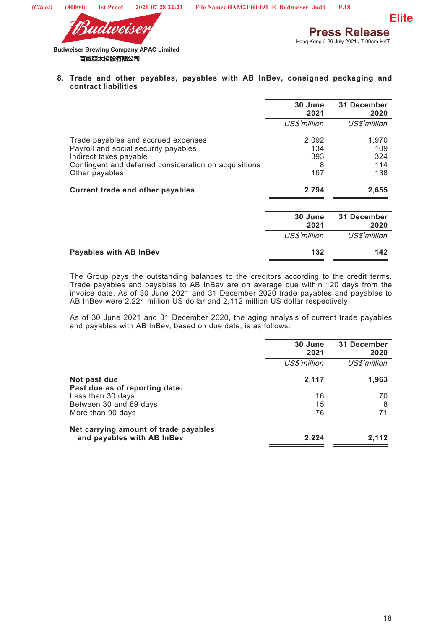

#### **8. Trade and other payables, payables with AB InBev, consigned packaging and contract liabilities**

|                                                       | 30 June<br>2021 | 31 December<br>2020 |
|-------------------------------------------------------|-----------------|---------------------|
|                                                       | US\$'million    | US\$'million        |
| Trade payables and accrued expenses                   | 2,092           | 1,970               |
| Payroll and social security payables                  | 134             | 109                 |
| Indirect taxes payable                                | 393             | 324                 |
| Contingent and deferred consideration on acquisitions | 8               | 114                 |
| Other payables                                        | 167             | 138                 |
| <b>Current trade and other payables</b>               | 2,794           | 2,655               |
|                                                       | 30 June<br>2021 | 31 December<br>2020 |
|                                                       | US\$'million    | US\$'million        |
| <b>Payables with AB InBev</b>                         | 132             | 142                 |

The Group pays the outstanding balances to the creditors according to the credit terms. Trade payables and payables to AB InBev are on average due within 120 days from the invoice date. As of 30 June 2021 and 31 December 2020 trade payables and payables to AB InBev were 2,224 million US dollar and 2,112 million US dollar respectively.

As of 30 June 2021 and 31 December 2020, the aging analysis of current trade payables and payables with AB InBev, based on due date, is as follows:

|                                                                     | 30 June<br>2021 | 31 December<br>2020 |  |  |
|---------------------------------------------------------------------|-----------------|---------------------|--|--|
|                                                                     | US\$'million    | US\$'million        |  |  |
| Not past due<br>Past due as of reporting date:                      | 2,117           | 1,963               |  |  |
| Less than 30 days                                                   | 16              | 70                  |  |  |
| Between 30 and 89 days                                              | 15              | 8                   |  |  |
| More than 90 days                                                   | 76              | 71                  |  |  |
| Net carrying amount of trade payables<br>and payables with AB InBev | 2,224           | 2,112               |  |  |
|                                                                     |                 |                     |  |  |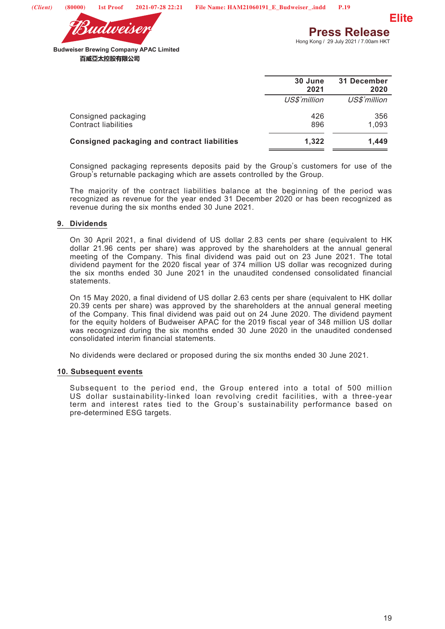



Hong Kong / 29 July 2021 / 7.00am HKT

**Budweiser Brewing Company APAC Limited**  百威亞太控股有限公司

| 30 June<br>2021 | 31 December<br>2020 |
|-----------------|---------------------|
| US\$'million    | US\$'million        |
| 426<br>896      | 356<br>1,093        |
| 1.322           | 1.449               |
|                 |                     |

Consigned packaging represents deposits paid by the Group's customers for use of the Group's returnable packaging which are assets controlled by the Group.

The majority of the contract liabilities balance at the beginning of the period was recognized as revenue for the year ended 31 December 2020 or has been recognized as revenue during the six months ended 30 June 2021.

#### **9. Dividends**

On 30 April 2021, a final dividend of US dollar 2.83 cents per share (equivalent to HK dollar 21.96 cents per share) was approved by the shareholders at the annual general meeting of the Company. This final dividend was paid out on 23 June 2021. The total dividend payment for the 2020 fiscal year of 374 million US dollar was recognized during the six months ended 30 June 2021 in the unaudited condensed consolidated financial statements.

On 15 May 2020, a final dividend of US dollar 2.63 cents per share (equivalent to HK dollar 20.39 cents per share) was approved by the shareholders at the annual general meeting of the Company. This final dividend was paid out on 24 June 2020. The dividend payment for the equity holders of Budweiser APAC for the 2019 fiscal year of 348 million US dollar was recognized during the six months ended 30 June 2020 in the unaudited condensed consolidated interim financial statements.

No dividends were declared or proposed during the six months ended 30 June 2021.

#### **10. Subsequent events**

Subsequent to the period end, the Group entered into a total of 500 million US dollar sustainability-linked loan revolving credit facilities, with a three-year term and interest rates tied to the Group's sustainability performance based on pre-determined ESG targets.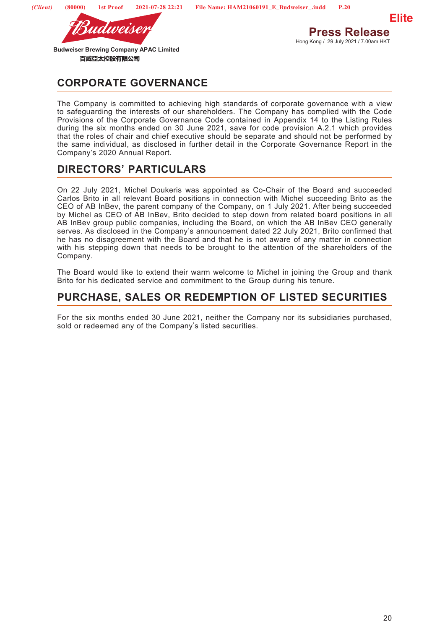

udweise

# **CORPORATE GOVERNANCE**

The Company is committed to achieving high standards of corporate governance with a view to safeguarding the interests of our shareholders. The Company has complied with the Code Provisions of the Corporate Governance Code contained in Appendix 14 to the Listing Rules during the six months ended on 30 June 2021, save for code provision A.2.1 which provides that the roles of chair and chief executive should be separate and should not be performed by the same individual, as disclosed in further detail in the Corporate Governance Report in the Company's 2020 Annual Report.

# **DIRECTORS' PARTICULARS**

On 22 July 2021, Michel Doukeris was appointed as Co-Chair of the Board and succeeded Carlos Brito in all relevant Board positions in connection with Michel succeeding Brito as the CEO of AB InBev, the parent company of the Company, on 1 July 2021. After being succeeded by Michel as CEO of AB InBev, Brito decided to step down from related board positions in all AB InBev group public companies, including the Board, on which the AB InBev CEO generally serves. As disclosed in the Company's announcement dated 22 July 2021, Brito confirmed that he has no disagreement with the Board and that he is not aware of any matter in connection with his stepping down that needs to be brought to the attention of the shareholders of the Company.

The Board would like to extend their warm welcome to Michel in joining the Group and thank Brito for his dedicated service and commitment to the Group during his tenure.

# **PURCHASE, SALES OR REDEMPTION OF LISTED SECURITIES**

For the six months ended 30 June 2021, neither the Company nor its subsidiaries purchased, sold or redeemed any of the Company's listed securities.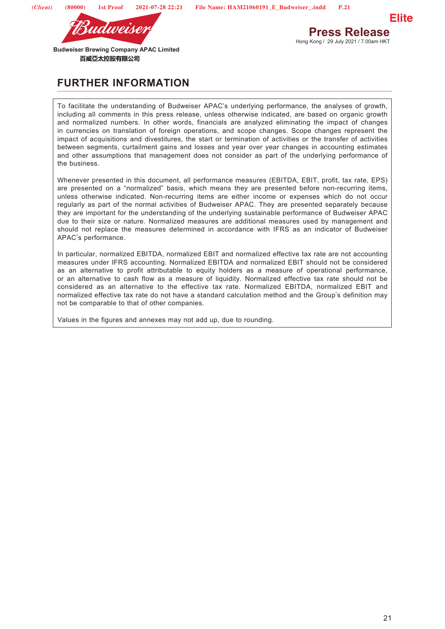

**Press Release** Hong Kong / 29 July 2021 / 7.00am HKT

**Elite**

**Budweiser Brewing Company APAC Limited**  百威亞太控股有限公司

# **FURTHER INFORMATION**

To facilitate the understanding of Budweiser APAC's underlying performance, the analyses of growth, including all comments in this press release, unless otherwise indicated, are based on organic growth and normalized numbers. In other words, financials are analyzed eliminating the impact of changes in currencies on translation of foreign operations, and scope changes. Scope changes represent the impact of acquisitions and divestitures, the start or termination of activities or the transfer of activities between segments, curtailment gains and losses and year over year changes in accounting estimates and other assumptions that management does not consider as part of the underlying performance of the business.

Whenever presented in this document, all performance measures (EBITDA, EBIT, profit, tax rate, EPS) are presented on a "normalized" basis, which means they are presented before non-recurring items, unless otherwise indicated. Non-recurring items are either income or expenses which do not occur regularly as part of the normal activities of Budweiser APAC. They are presented separately because they are important for the understanding of the underlying sustainable performance of Budweiser APAC due to their size or nature. Normalized measures are additional measures used by management and should not replace the measures determined in accordance with IFRS as an indicator of Budweiser APAC's performance.

In particular, normalized EBITDA, normalized EBIT and normalized effective tax rate are not accounting measures under IFRS accounting. Normalized EBITDA and normalized EBIT should not be considered as an alternative to profit attributable to equity holders as a measure of operational performance, or an alternative to cash flow as a measure of liquidity. Normalized effective tax rate should not be considered as an alternative to the effective tax rate. Normalized EBITDA, normalized EBIT and normalized effective tax rate do not have a standard calculation method and the Group's definition may not be comparable to that of other companies.

Values in the figures and annexes may not add up, due to rounding.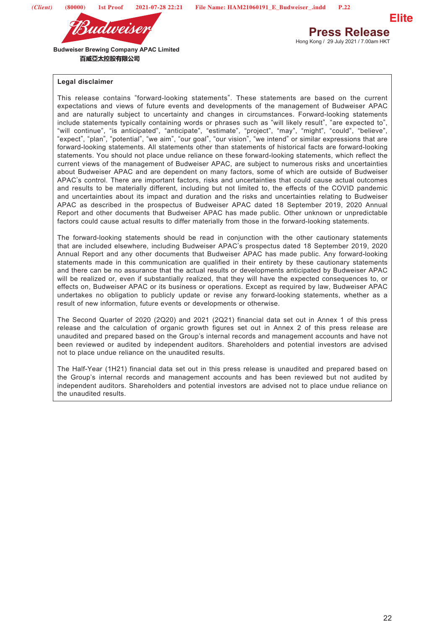



## **Press Release** Hong Kong / 29 July 2021 / 7.00am HKT

#### **Legal disclaimer**

This release contains "forward-looking statements". These statements are based on the current expectations and views of future events and developments of the management of Budweiser APAC and are naturally subject to uncertainty and changes in circumstances. Forward-looking statements include statements typically containing words or phrases such as "will likely result", "are expected to", "will continue", "is anticipated", "anticipate", "estimate", "project", "may", "might", "could", "believe", "expect", "plan", "potential", "we aim", "our goal", "our vision", "we intend" or similar expressions that are forward-looking statements. All statements other than statements of historical facts are forward-looking statements. You should not place undue reliance on these forward-looking statements, which reflect the current views of the management of Budweiser APAC, are subject to numerous risks and uncertainties about Budweiser APAC and are dependent on many factors, some of which are outside of Budweiser APAC's control. There are important factors, risks and uncertainties that could cause actual outcomes and results to be materially different, including but not limited to, the effects of the COVID pandemic and uncertainties about its impact and duration and the risks and uncertainties relating to Budweiser APAC as described in the prospectus of Budweiser APAC dated 18 September 2019, 2020 Annual Report and other documents that Budweiser APAC has made public. Other unknown or unpredictable factors could cause actual results to differ materially from those in the forward-looking statements.

The forward-looking statements should be read in conjunction with the other cautionary statements that are included elsewhere, including Budweiser APAC's prospectus dated 18 September 2019, 2020 Annual Report and any other documents that Budweiser APAC has made public. Any forward-looking statements made in this communication are qualified in their entirety by these cautionary statements and there can be no assurance that the actual results or developments anticipated by Budweiser APAC will be realized or, even if substantially realized, that they will have the expected consequences to, or effects on, Budweiser APAC or its business or operations. Except as required by law, Budweiser APAC undertakes no obligation to publicly update or revise any forward-looking statements, whether as a result of new information, future events or developments or otherwise.

The Second Quarter of 2020 (2Q20) and 2021 (2Q21) financial data set out in Annex 1 of this press release and the calculation of organic growth figures set out in Annex 2 of this press release are unaudited and prepared based on the Group's internal records and management accounts and have not been reviewed or audited by independent auditors. Shareholders and potential investors are advised not to place undue reliance on the unaudited results.

The Half-Year (1H21) financial data set out in this press release is unaudited and prepared based on the Group's internal records and management accounts and has been reviewed but not audited by independent auditors. Shareholders and potential investors are advised not to place undue reliance on the unaudited results.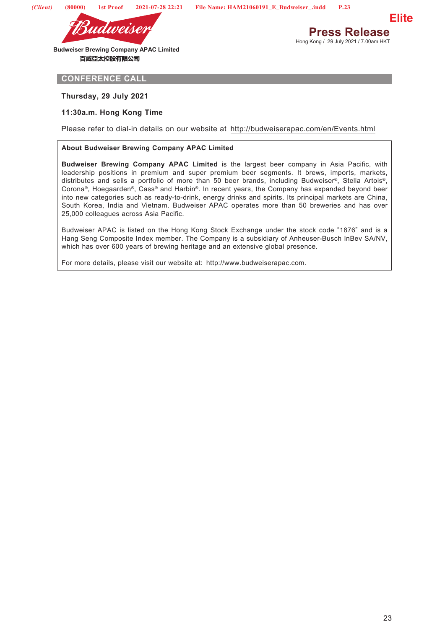

**Press Release** Hong Kong / 29 July 2021 / 7.00am HKT **Elite**

**CONFERENCE CALL**

**Thursday, 29 July 2021**

#### **11:30a.m. Hong Kong Time**

Please refer to dial-in details on our website at http://budweiserapac.com/en/Events.html

#### **About Budweiser Brewing Company APAC Limited**

**Budweiser Brewing Company APAC Limited** is the largest beer company in Asia Pacific, with leadership positions in premium and super premium beer segments. It brews, imports, markets, distributes and sells a portfolio of more than 50 beer brands, including Budweiser®, Stella Artois®, Corona®, Hoegaarden®, Cass® and Harbin®. In recent years, the Company has expanded beyond beer into new categories such as ready-to-drink, energy drinks and spirits. Its principal markets are China, South Korea, India and Vietnam. Budweiser APAC operates more than 50 breweries and has over 25,000 colleagues across Asia Pacific.

Budweiser APAC is listed on the Hong Kong Stock Exchange under the stock code "1876" and is a Hang Seng Composite Index member. The Company is a subsidiary of Anheuser-Busch InBev SA/NV, which has over 600 years of brewing heritage and an extensive global presence.

For more details, please visit our website at: http://www.budweiserapac.com.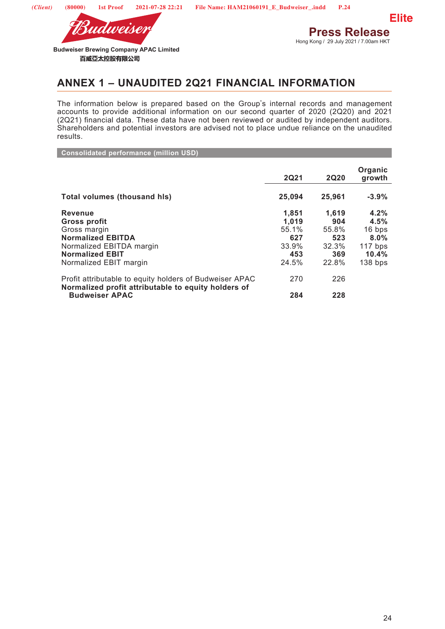

**Sudweise** 

**Press Release** Hong Kong / 29 July 2021 / 7.00am HKT

## **ANNEX 1 – UNAUDITED 2Q21 FINANCIAL INFORMATION**

The information below is prepared based on the Group's internal records and management accounts to provide additional information on our second quarter of 2020 (2Q20) and 2021 (2Q21) financial data. These data have not been reviewed or audited by independent auditors. Shareholders and potential investors are advised not to place undue reliance on the unaudited results.

**Consolidated performance (million USD)**

|                                                                                                                                                            | <b>2Q21</b>                                             | <b>2Q20</b>                                           | Organic<br>growth                                                    |
|------------------------------------------------------------------------------------------------------------------------------------------------------------|---------------------------------------------------------|-------------------------------------------------------|----------------------------------------------------------------------|
| <b>Total volumes (thousand his)</b>                                                                                                                        | 25,094                                                  | 25.961                                                | $-3.9%$                                                              |
| <b>Revenue</b><br>Gross profit<br>Gross margin<br><b>Normalized EBITDA</b><br>Normalized EBITDA margin<br><b>Normalized EBIT</b><br>Normalized EBIT margin | 1.851<br>1,019<br>55.1%<br>627<br>33.9%<br>453<br>24.5% | 1.619<br>904<br>55.8%<br>523<br>32.3%<br>369<br>22.8% | 4.2%<br>4.5%<br>16 bps<br>$8.0\%$<br>$117$ bps<br>10.4%<br>$138$ bps |
| Profit attributable to equity holders of Budweiser APAC<br>Normalized profit attributable to equity holders of<br><b>Budweiser APAC</b>                    | 270<br>284                                              | 226<br>228                                            |                                                                      |